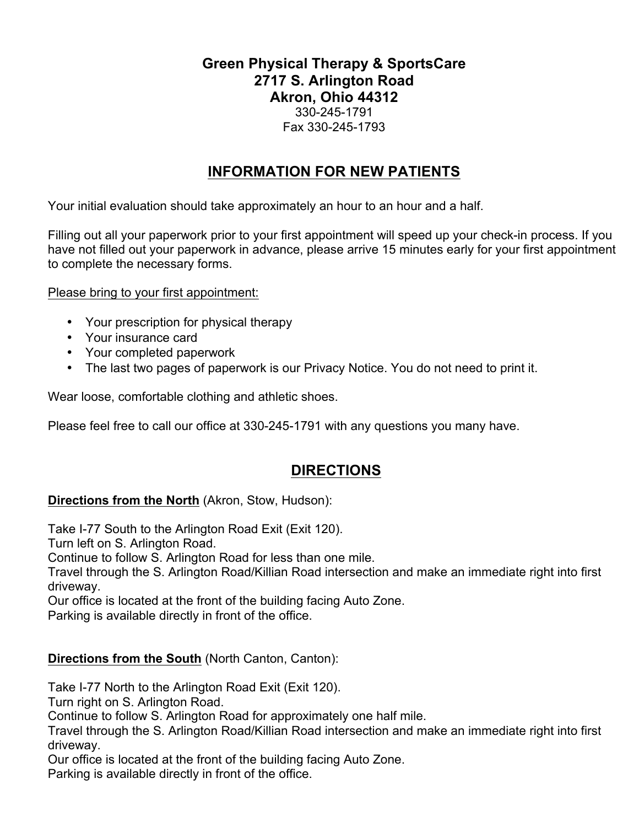## **Green Physical Therapy & SportsCare 2717 S. Arlington Road Akron, Ohio 44312** 330-245-1791 Fax 330-245-1793

## **INFORMATION FOR NEW PATIENTS**

Your initial evaluation should take approximately an hour to an hour and a half.

Filling out all your paperwork prior to your first appointment will speed up your check-in process. If you have not filled out your paperwork in advance, please arrive 15 minutes early for your first appointment to complete the necessary forms.

Please bring to your first appointment:

- Your prescription for physical therapy
- Your insurance card
- Your completed paperwork
- The last two pages of paperwork is our Privacy Notice. You do not need to print it.

Wear loose, comfortable clothing and athletic shoes.

Please feel free to call our office at 330-245-1791 with any questions you many have.

## **DIRECTIONS**

## **Directions from the North** (Akron, Stow, Hudson):

Take I-77 South to the Arlington Road Exit (Exit 120).

Turn left on S. Arlington Road.

Continue to follow S. Arlington Road for less than one mile.

Travel through the S. Arlington Road/Killian Road intersection and make an immediate right into first driveway.

Our office is located at the front of the building facing Auto Zone.

Parking is available directly in front of the office.

## **Directions from the South (North Canton, Canton):**

Take I-77 North to the Arlington Road Exit (Exit 120).

Turn right on S. Arlington Road.

Continue to follow S. Arlington Road for approximately one half mile.

Travel through the S. Arlington Road/Killian Road intersection and make an immediate right into first driveway.

Our office is located at the front of the building facing Auto Zone.

Parking is available directly in front of the office.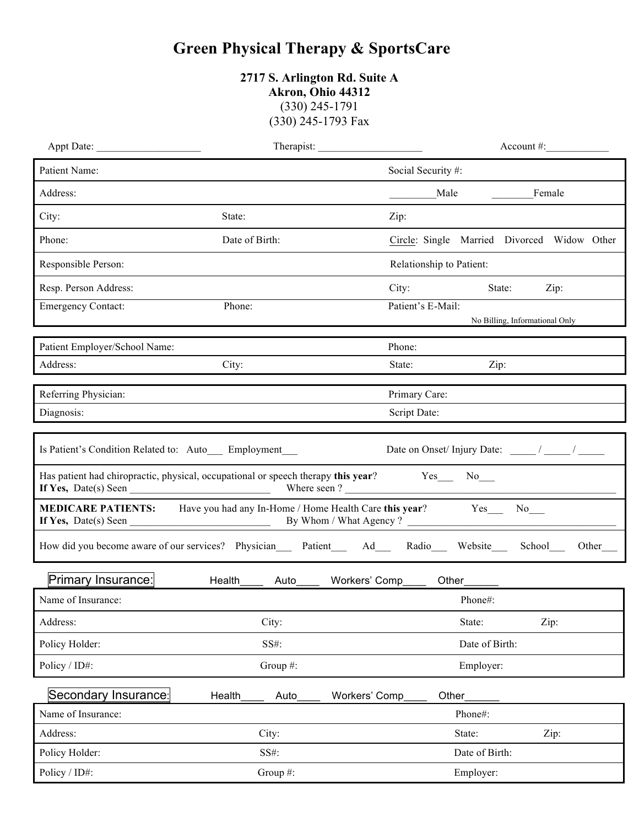## **Green Physical Therapy & SportsCare**

| 2717 S. Arlington Rd. Suite A |  |
|-------------------------------|--|
| Akron, Ohio 44312             |  |
| $(330)$ 245-1791              |  |
| (330) 245-1793 Fax            |  |

|                                                       |                | Therapist:                                                                                                 | $Account \#$ :        |
|-------------------------------------------------------|----------------|------------------------------------------------------------------------------------------------------------|-----------------------|
| Patient Name:                                         |                | Social Security #:                                                                                         |                       |
| Address:                                              |                | Female<br>Male                                                                                             |                       |
| City:                                                 | State:         | Zip:                                                                                                       |                       |
| Phone:                                                | Date of Birth: | Circle: Single Married Divorced Widow Other                                                                |                       |
| Responsible Person:                                   |                | Relationship to Patient:                                                                                   |                       |
| Resp. Person Address:                                 |                | City:<br>State:                                                                                            | Zip:                  |
| <b>Emergency Contact:</b>                             | Phone:         | Patient's E-Mail:                                                                                          |                       |
|                                                       |                | No Billing, Informational Only                                                                             |                       |
| Patient Employer/School Name:                         |                | Phone:                                                                                                     |                       |
| Address:                                              | City:          | State:<br>Zip:                                                                                             |                       |
| Referring Physician:                                  |                | Primary Care:                                                                                              |                       |
| Diagnosis:                                            |                | Script Date:                                                                                               |                       |
| Is Patient's Condition Related to: Auto__ Employment_ |                | Has patient had chiropractic, physical, occupational or speech therapy this year? Yes No                   |                       |
|                                                       |                | <b>MEDICARE PATIENTS:</b> Have you had any In-Home / Home Health Care this year? Yes___ No___              |                       |
|                                                       |                | How did you become aware of our services? Physician____ Patient____ Ad___ Radio___ Website___<br>School___ | Other <sub>____</sub> |
| Primary Insurance:                                    |                | Health_______ Auto_______ Workers' Comp______ Other_______                                                 |                       |
| Name of Insurance:                                    |                | Phone#:                                                                                                    |                       |
| Address:                                              | City:          | State:                                                                                                     | Zip:                  |
| Policy Holder:                                        | SS#:           | Date of Birth:                                                                                             |                       |
| Policy / ID#:                                         | Group #:       | Employer:                                                                                                  |                       |
| Secondary Insurance:                                  | Health<br>Auto | Workers' Comp<br>Other <sub>_</sub>                                                                        |                       |
| Name of Insurance:                                    |                | Phone#:                                                                                                    |                       |
| Address:                                              | City:          | State:                                                                                                     | Zip:                  |
| Policy Holder:                                        | SS#:           | Date of Birth:                                                                                             |                       |
| Policy / ID#:                                         | Group #:       | Employer:                                                                                                  |                       |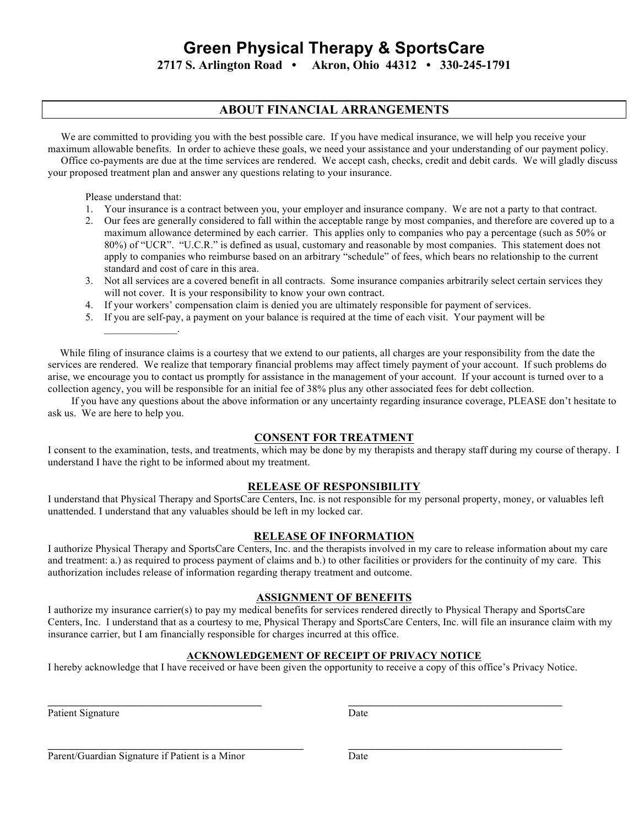# **Green Physical Therapy & SportsCare**

**2717 S. Arlington Road • Akron, Ohio 44312 • 330-245-1791**

## **ABOUT FINANCIAL ARRANGEMENTS**

 We are committed to providing you with the best possible care. If you have medical insurance, we will help you receive your maximum allowable benefits. In order to achieve these goals, we need your assistance and your understanding of our payment policy.

 Office co-payments are due at the time services are rendered. We accept cash, checks, credit and debit cards. We will gladly discuss your proposed treatment plan and answer any questions relating to your insurance.

Please understand that:

 $\mathcal{L}=\mathcal{L}^{\text{max}}$ 

- 1. Your insurance is a contract between you, your employer and insurance company. We are not a party to that contract.
- 2. Our fees are generally considered to fall within the acceptable range by most companies, and therefore are covered up to a maximum allowance determined by each carrier. This applies only to companies who pay a percentage (such as 50% or 80%) of "UCR". "U.C.R." is defined as usual, customary and reasonable by most companies. This statement does not apply to companies who reimburse based on an arbitrary "schedule" of fees, which bears no relationship to the current standard and cost of care in this area.
- 3. Not all services are a covered benefit in all contracts. Some insurance companies arbitrarily select certain services they will not cover. It is your responsibility to know your own contract.
- 4. If your workers' compensation claim is denied you are ultimately responsible for payment of services.
- 5. If you are self-pay, a payment on your balance is required at the time of each visit. Your payment will be

While filing of insurance claims is a courtesy that we extend to our patients, all charges are your responsibility from the date the services are rendered. We realize that temporary financial problems may affect timely payment of your account. If such problems do arise, we encourage you to contact us promptly for assistance in the management of your account. If your account is turned over to a collection agency, you will be responsible for an initial fee of 38% plus any other associated fees for debt collection.

 If you have any questions about the above information or any uncertainty regarding insurance coverage, PLEASE don't hesitate to ask us. We are here to help you.

## **CONSENT FOR TREATMENT**

I consent to the examination, tests, and treatments, which may be done by my therapists and therapy staff during my course of therapy. I understand I have the right to be informed about my treatment.

## **RELEASE OF RESPONSIBILITY**

I understand that Physical Therapy and SportsCare Centers, Inc. is not responsible for my personal property, money, or valuables left unattended. I understand that any valuables should be left in my locked car.

## **RELEASE OF INFORMATION**

I authorize Physical Therapy and SportsCare Centers, Inc. and the therapists involved in my care to release information about my care and treatment: a.) as required to process payment of claims and b.) to other facilities or providers for the continuity of my care. This authorization includes release of information regarding therapy treatment and outcome.

## **ASSIGNMENT OF BENEFITS**

I authorize my insurance carrier(s) to pay my medical benefits for services rendered directly to Physical Therapy and SportsCare Centers, Inc. I understand that as a courtesy to me, Physical Therapy and SportsCare Centers, Inc. will file an insurance claim with my insurance carrier, but I am financially responsible for charges incurred at this office.

## **ACKNOWLEDGEMENT OF RECEIPT OF PRIVACY NOTICE**

I hereby acknowledge that I have received or have been given the opportunity to receive a copy of this office's Privacy Notice.

**\_\_\_\_\_\_\_\_\_\_\_\_\_\_\_\_\_\_\_\_\_\_\_\_\_\_\_\_\_\_\_\_\_\_\_\_\_\_\_\_\_\_\_\_\_\_\_\_\_ \_\_\_\_\_\_\_\_\_\_\_\_\_\_\_\_\_\_\_\_\_\_\_\_\_\_\_\_\_\_\_\_\_\_\_\_\_\_\_\_\_**

Patient Signature Date

Parent/Guardian Signature if Patient is a Minor Date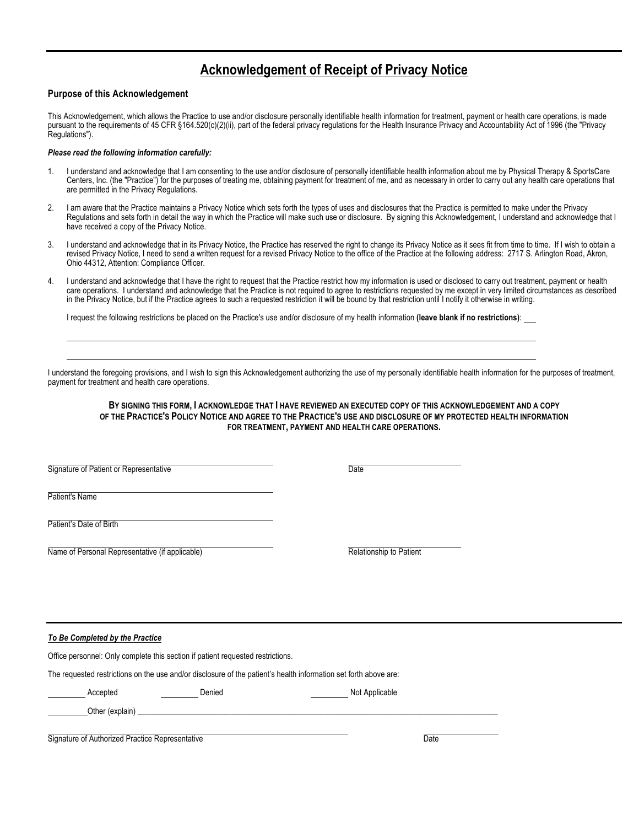## **Acknowledgement of Receipt of Privacy Notice**

#### **Purpose of this Acknowledgement**

This Acknowledgement, which allows the Practice to use and/or disclosure personally identifiable health information for treatment, payment or health care operations, is made pursuant to the requirements of 45 CFR §164.520(c)(2)(ii), part of the federal privacy regulations for the Health Insurance Privacy and Accountability Act of 1996 (the "Privacy Regulations").

#### *Please read the following information carefully:*

- 1. I understand and acknowledge that I am consenting to the use and/or disclosure of personally identifiable health information about me by Physical Therapy & SportsCare Centers, Inc. (the "Practice") for the purposes of treating me, obtaining payment for treatment of me, and as necessary in order to carry out any health care operations that are permitted in the Privacy Regulations.
- 2. I am aware that the Practice maintains a Privacy Notice which sets forth the types of uses and disclosures that the Practice is permitted to make under the Privacy Regulations and sets forth in detail the way in which the Practice will make such use or disclosure. By signing this Acknowledgement, I understand and acknowledge that I have received a copy of the Privacy Notice.
- 3. I understand and acknowledge that in its Privacy Notice, the Practice has reserved the right to change its Privacy Notice as it sees fit from time to time. If I wish to obtain a revised Privacy Notice, I need to send a written request for a revised Privacy Notice to the office of the Practice at the following address: 2717 S. Arlington Road, Akron, Ohio 44312, Attention: Compliance Officer.
- 4. I understand and acknowledge that I have the right to request that the Practice restrict how my information is used or disclosed to carry out treatment, payment or health care operations. I understand and acknowledge that the Practice is not required to agree to restrictions requested by me except in very limited circumstances as described in the Privacy Notice, but if the Practice agrees to such a requested restriction it will be bound by that restriction until I notify it otherwise in writing.

I request the following restrictions be placed on the Practice's use and/or disclosure of my health information **(leave blank if no restrictions)**:

I understand the foregoing provisions, and I wish to sign this Acknowledgement authorizing the use of my personally identifiable health information for the purposes of treatment, payment for treatment and health care operations.

**BY SIGNING THIS FORM, I ACKNOWLEDGE THAT I HAVE REVIEWED AN EXECUTED COPY OF THIS ACKNOWLEDGEMENT AND A COPY OF THE PRACTICE'S POLICY NOTICE AND AGREE TO THE PRACTICE'S USE AND DISCLOSURE OF MY PROTECTED HEALTH INFORMATION FOR TREATMENT, PAYMENT AND HEALTH CARE OPERATIONS.**

Signature of Patient or Representative Date

Patient's Name

Patient's Date of Birth

Name of Personal Representative (if applicable) **Relationship to Patient** Relationship to Patient

*To Be Completed by the Practice*

Office personnel: Only complete this section if patient requested restrictions.

The requested restrictions on the use and/or disclosure of the patient's health information set forth above are:

Accepted **Denied** Denied **Not Applicable** 

| Signature of Authorized Practice Representative | Date |
|-------------------------------------------------|------|

Other (explain)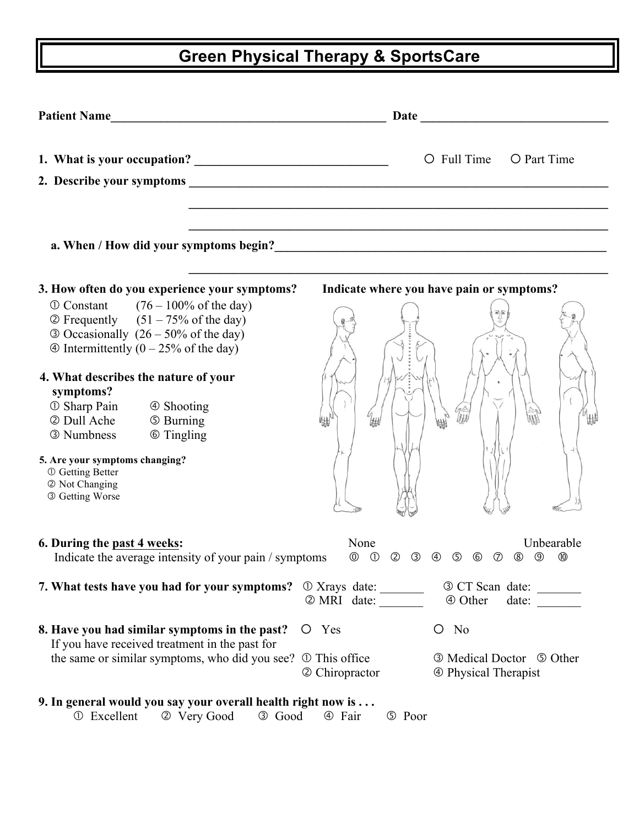# **Green Physical Therapy & SportsCare**

| <b>Patient Name</b>                                                                                                                                                                                 | Date<br><u> 1989 - Johann Harry Barn, mars and de Branch and de Branch and de Branch and de Branch and de Branch and de B</u>                                                                                                         |
|-----------------------------------------------------------------------------------------------------------------------------------------------------------------------------------------------------|---------------------------------------------------------------------------------------------------------------------------------------------------------------------------------------------------------------------------------------|
|                                                                                                                                                                                                     | $O$ Full Time<br>O Part Time                                                                                                                                                                                                          |
|                                                                                                                                                                                                     |                                                                                                                                                                                                                                       |
|                                                                                                                                                                                                     |                                                                                                                                                                                                                                       |
|                                                                                                                                                                                                     | a. When / How did your symptoms begin?<br><u>Letting and the contract of the symptoms begin</u> and the symptoms begin and the symptoms of the symptoms begin and the symptoms begin and the symptoms of the symptoms of the symptoms |
| 3. How often do you experience your symptoms?                                                                                                                                                       | Indicate where you have pain or symptoms?                                                                                                                                                                                             |
| $\Phi$ Constant (76 – 100% of the day)<br>$\textcircled{2}$ Frequently $(51 - 75\% \text{ of the day})$<br>$\odot$ Occasionally (26 – 50% of the day)<br>$\Phi$ Intermittently (0 – 25% of the day) |                                                                                                                                                                                                                                       |
| 4. What describes the nature of your<br>symptoms?<br><b>1</b> Sharp Pain<br>4 Shooting<br>2 Dull Ache<br><b>5 Burning</b><br><b>6 Tingling</b><br>3 Numbness                                        |                                                                                                                                                                                                                                       |
| 5. Are your symptoms changing?<br><b>① Getting Better</b><br>2 Not Changing<br>3 Getting Worse                                                                                                      |                                                                                                                                                                                                                                       |
| 6. During the past 4 weeks:<br>Indicate the average intensity of your pain / symptoms                                                                                                               | None<br>Unbearable<br>$\circledcirc$<br>$\circled{0}$<br>0<br>$\circledS$<br>$\circledcirc$<br>$\circledcirc$<br>$\circled{2}$<br>$\circled{3}$<br>$\circled{4}$<br>$\circledcirc$<br>(8)                                             |
| 7. What tests have you had for your symptoms?                                                                                                                                                       | $\odot$ Xrays date: $\frac{1}{\odot}$<br>3 CT Scan date:<br>2 MRI date:<br>4 Other<br>date:                                                                                                                                           |
| 8. Have you had similar symptoms in the past?<br>If you have received treatment in the past for                                                                                                     | $O$ No<br>O Yes                                                                                                                                                                                                                       |
| the same or similar symptoms, who did you see?                                                                                                                                                      | <b>① This office</b><br><b>3 Medical Doctor 5 Other</b><br>2 Chiropractor<br><b>4</b> Physical Therapist                                                                                                                              |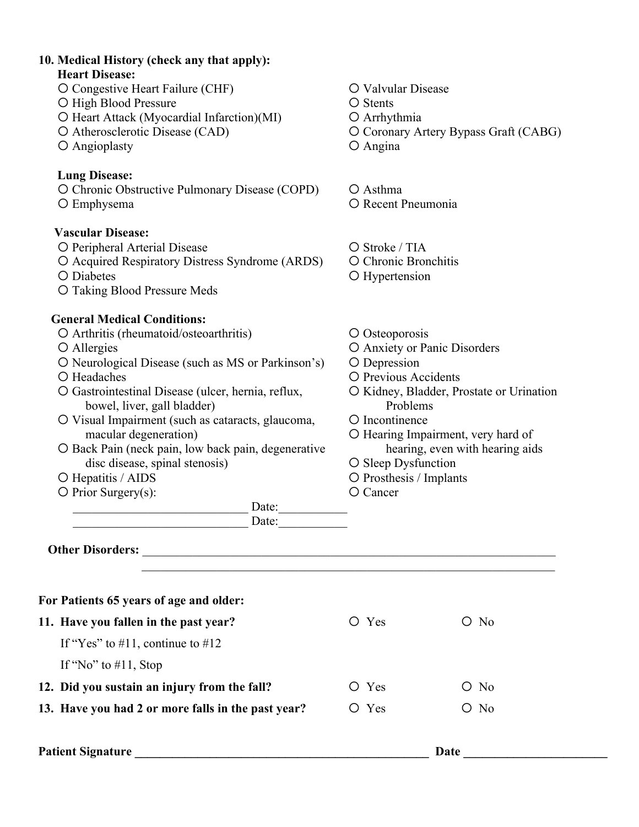## **10. Medical History (check any that apply): Heart Disease:** O Congestive Heart Failure (CHF)  $\qquad Q$  Valvular Disease O High Blood Pressure **Stents** O Stents  $O$  Heart Attack (Myocardial Infarction)(MI)  $O$  Arrhythmia O Atherosclerotic Disease (CAD) Coronary Artery Bypass Graft (CABG) O Angioplasty Q Angina **Lung Disease:** O Chronic Obstructive Pulmonary Disease (COPD)  $\qquad$  O Asthma O Emphysema  $\bigcirc$  Recent Pneumonia **Vascular Disease:** O Peripheral Arterial Disease **Stroke / TIA**  Acquired Respiratory Distress Syndrome (ARDS) Chronic Bronchitis O Diabetes **C** Diabetes **C** Hypertension O Taking Blood Pressure Meds **General Medical Conditions:** O Arthritis (rheumatoid/osteoarthritis) O Osteoporosis O Allergies C Anxiety or Panic Disorders O Neurological Disease (such as MS or Parkinson's) O Depression O Headaches **Previous Accidents Previous Accidents** O Gastrointestinal Disease (ulcer, hernia, reflux,  $\overline{O}$  Kidney, Bladder, Prostate or Urination bowel, liver, gall bladder) Problems O Visual Impairment (such as cataracts, glaucoma,  $\Box$  D Incontinence macular degeneration)  $\bigcirc$  Hearing Impairment, very hard of O Back Pain (neck pain, low back pain, degenerative hearing, even with hearing aids disc disease, spinal stenosis)  $\bigcirc$  Sleep Dysfunction O Hepatitis / AIDS 
Q Prosthesis / Implants O Prior Surgery(s):  $\bigcirc$  Cancer \_\_\_\_\_\_\_\_\_\_\_\_\_\_\_\_\_\_\_\_\_\_\_\_\_\_\_\_ Date:\_\_\_\_\_\_\_\_\_\_\_  $Date:$ **Other Disorders:** \_\_\_\_\_\_\_\_\_\_\_\_\_\_\_\_\_\_\_\_\_\_\_\_\_\_\_\_\_\_\_\_\_\_\_\_\_\_\_\_\_\_\_\_\_\_\_\_\_\_\_\_\_\_\_\_\_\_\_\_\_\_\_\_\_\_  $\mathcal{L}_\text{max}$  , and the contribution of the contribution of the contribution of the contribution of the contribution of the contribution of the contribution of the contribution of the contribution of the contribution of t **For Patients 65 years of age and older: 11. Have you fallen in the past year?**  $O \text{ Yes}$   $O \text{ No}$ If "Yes" to  $\#11$ , continue to  $\#12$ If "No" to  $\#11$ , Stop **12. Did you sustain an injury from the fall?**  $O \text{ Yes}$   $O \text{ No}$ **13. Have you had 2 or more falls in the past year?**  $\overline{O}$  Yes  $\overline{O}$  No **Patient Signature \_\_\_\_\_\_\_\_\_\_\_\_\_\_\_\_\_\_\_\_\_\_\_\_\_\_\_\_\_\_\_\_\_\_\_\_\_\_\_\_\_\_\_\_\_\_\_ Date \_\_\_\_\_\_\_\_\_\_\_\_\_\_\_\_\_\_\_\_\_\_\_**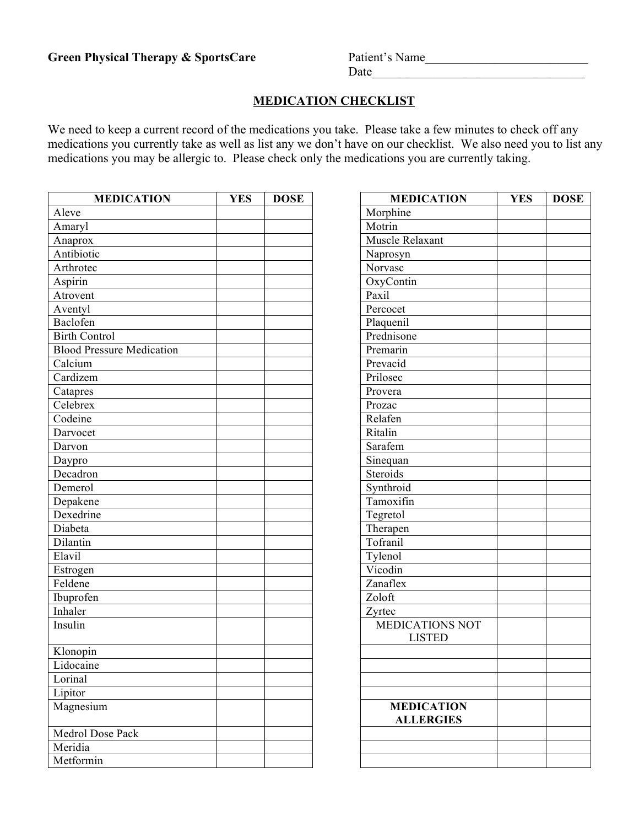## **MEDICATION CHECKLIST**

We need to keep a current record of the medications you take. Please take a few minutes to check off any medications you currently take as well as list any we don't have on our checklist. We also need you to list any medications you may be allergic to. Please check only the medications you are currently taking.

| <b>MEDICATION</b>                | <b>YES</b> | <b>DOSE</b> | <b>MEDICATION</b>                     |
|----------------------------------|------------|-------------|---------------------------------------|
| Aleve                            |            |             | Morphine                              |
| Amaryl                           |            |             | Motrin                                |
| Anaprox                          |            |             | Muscle Relaxant                       |
| Antibiotic                       |            |             | Naprosyn                              |
| Arthrotec                        |            |             | Norvasc                               |
| Aspirin                          |            |             | OxyContin                             |
| Atrovent                         |            |             | Paxil                                 |
| Aventyl                          |            |             | Percocet                              |
| Baclofen                         |            |             | Plaquenil                             |
| <b>Birth Control</b>             |            |             | Prednisone                            |
| <b>Blood Pressure Medication</b> |            |             | Premarin                              |
| Calcium                          |            |             | Prevacid                              |
| Cardizem                         |            |             | Prilosec                              |
| Catapres                         |            |             | Provera                               |
| Celebrex                         |            |             | Prozac                                |
| Codeine                          |            |             | Relafen                               |
| Darvocet                         |            |             | Ritalin                               |
| Darvon                           |            |             | Sarafem                               |
| Daypro                           |            |             | Sinequan                              |
| Decadron                         |            |             | Steroids                              |
| Demerol                          |            |             | Synthroid                             |
| Depakene                         |            |             | Tamoxifin                             |
| Dexedrine                        |            |             | Tegretol                              |
| Diabeta                          |            |             | Therapen                              |
| Dilantin                         |            |             | Tofranil                              |
| Elavil                           |            |             | Tylenol                               |
| Estrogen                         |            |             | Vicodin                               |
| Feldene                          |            |             | Zanaflex                              |
| Ibuprofen                        |            |             | Zoloft                                |
| Inhaler                          |            |             | Zyrtec                                |
| Insulin                          |            |             | <b>MEDICATIONS NOT</b>                |
|                                  |            |             | <b>LISTED</b>                         |
| Klonopin                         |            |             |                                       |
| Lidocaine                        |            |             |                                       |
| Lorinal                          |            |             |                                       |
| Lipitor                          |            |             |                                       |
| Magnesium                        |            |             | <b>MEDICATION</b><br><b>ALLERGIES</b> |
| Medrol Dose Pack                 |            |             |                                       |
| Meridia                          |            |             |                                       |
| Metformin                        |            |             |                                       |

| <b>MEDICATION</b>        | <b>YES</b> | <b>DOSE</b> | <b>MEDICATION</b>                     | <b>YES</b> | <b>DOSE</b> |
|--------------------------|------------|-------------|---------------------------------------|------------|-------------|
|                          |            |             | Morphine                              |            |             |
|                          |            |             | Motrin                                |            |             |
|                          |            |             | Muscle Relaxant                       |            |             |
| $\mathbf{c}$             |            |             | Naprosyn                              |            |             |
| $\overline{\phantom{a}}$ |            |             | Norvasc                               |            |             |
|                          |            |             | OxyContin                             |            |             |
|                          |            |             | Paxil                                 |            |             |
|                          |            |             | Percocet                              |            |             |
|                          |            |             | Plaquenil                             |            |             |
| ntrol                    |            |             | Prednisone                            |            |             |
| essure Medication        |            |             | Premarin                              |            |             |
|                          |            |             | Prevacid                              |            |             |
| $\mathbf{a}$             |            |             | Prilosec                              |            |             |
|                          |            |             | Provera                               |            |             |
|                          |            |             | Prozac                                |            |             |
|                          |            |             | Relafen                               |            |             |
|                          |            |             | Ritalin                               |            |             |
|                          |            |             | Sarafem                               |            |             |
|                          |            |             | Sinequan                              |            |             |
| n                        |            |             | Steroids                              |            |             |
|                          |            |             | Synthroid                             |            |             |
|                          |            |             | Tamoxifin                             |            |             |
| $\frac{e}{e}$            |            |             | Tegretol                              |            |             |
|                          |            |             | Therapen                              |            |             |
|                          |            |             | Tofranil                              |            |             |
|                          |            |             | Tylenol                               |            |             |
|                          |            |             | Vicodin                               |            |             |
|                          |            |             | Zanaflex                              |            |             |
| n                        |            |             | Zoloft                                |            |             |
|                          |            |             | Zyrtec                                |            |             |
|                          |            |             | MEDICATIONS NOT                       |            |             |
|                          |            |             | <b>LISTED</b>                         |            |             |
| ı                        |            |             |                                       |            |             |
| e                        |            |             |                                       |            |             |
|                          |            |             |                                       |            |             |
|                          |            |             |                                       |            |             |
| um                       |            |             | <b>MEDICATION</b><br><b>ALLERGIES</b> |            |             |
| <b>Dose Pack</b>         |            |             |                                       |            |             |
|                          |            |             |                                       |            |             |
| in                       |            |             |                                       |            |             |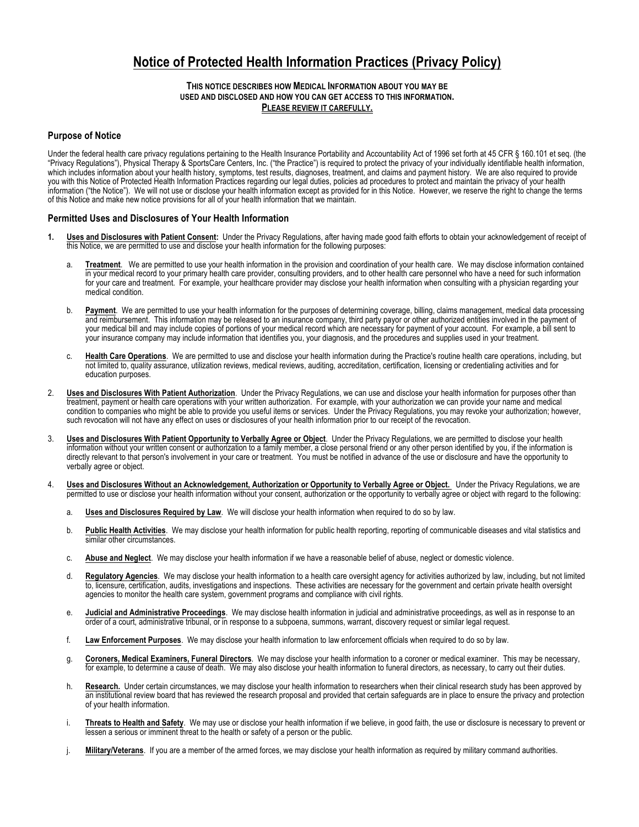## **Notice of Protected Health Information Practices (Privacy Policy)**

#### **THIS NOTICE DESCRIBES HOW MEDICAL INFORMATION ABOUT YOU MAY BE USED AND DISCLOSED AND HOW YOU CAN GET ACCESS TO THIS INFORMATION. PLEASE REVIEW IT CAREFULLY.**

#### **Purpose of Notice**

Under the federal health care privacy regulations pertaining to the Health Insurance Portability and Accountability Act of 1996 set forth at 45 CFR § 160.101 et seq. (the "Privacy Regulations"), Physical Therapy & SportsCare Centers, Inc. ("the Practice") is required to protect the privacy of your individually identifiable health information, which includes information about your health history, symptoms, test results, diagnoses, treatment, and claims and payment history. We are also required to provide you with this Notice of Protected Health Information Practices regarding our legal duties, policies ad procedures to protect and maintain the privacy of your health information ("the Notice"). We will not use or disclose your health information except as provided for in this Notice. However, we reserve the right to change the terms of this Notice and make new notice provisions for all of your health information that we maintain.

#### **Permitted Uses and Disclosures of Your Health Information**

- **1. Uses and Disclosures with Patient Consent:** Under the Privacy Regulations, after having made good faith efforts to obtain your acknowledgement of receipt of this Notice, we are permitted to use and disclose your health information for the following purposes:
	- a. **Treatment**. We are permitted to use your health information in the provision and coordination of your health care. We may disclose information contained in your medical record to your primary health care provider, consulting providers, and to other health care personnel who have a need for such information for your care and treatment. For example, your healthcare provider may disclose your health information when consulting with a physician regarding your medical condition.
	- b. **Payment**. We are permitted to use your health information for the purposes of determining coverage, billing, claims management, medical data processing and reimbursement. This information may be released to an insurance company, third party payor or other authorized entities involved in the payment of your medical bill and may include copies of portions of your medical record which are necessary for payment of your account. For example, a bill sent to your insurance company may include information that identifies you, your diagnosis, and the procedures and supplies used in your treatment.
	- c. **Health Care Operations**. We are permitted to use and disclose your health information during the Practice's routine health care operations, including, but not limited to, quality assurance, utilization reviews, medical reviews, auditing, accreditation, certification, licensing or credentialing activities and for education purposes.
- 2. **Uses and Disclosures With Patient Authorization**. Under the Privacy Regulations, we can use and disclose your health information for purposes other than treatment, payment or health care operations with your written authorization. For example, with your authorization we can provide your name and medical condition to companies who might be able to provide you useful items or services. Under the Privacy Regulations, you may revoke your authorization; however, such revocation will not have any effect on uses or disclosures of your health information prior to our receipt of the revocation.
- 3. **Uses and Disclosures With Patient Opportunity to Verbally Agree or Object**. Under the Privacy Regulations, we are permitted to disclose your health information without your written consent or authorization to a family member, a close personal friend or any other person identified by you, if the information is directly relevant to that person's involvement in your care or treatment. You must be notified in advance of the use or disclosure and have the opportunity to verbally agree or object.
- 4. **Uses and Disclosures Without an Acknowledgement, Authorization or Opportunity to Verbally Agree or Object.** Under the Privacy Regulations, we are permitted to use or disclose your health information without your consent, authorization or the opportunity to verbally agree or object with regard to the following:
	- a. **Uses and Disclosures Required by Law**. We will disclose your health information when required to do so by law.
	- b. **Public Health Activities**. We may disclose your health information for public health reporting, reporting of communicable diseases and vital statistics and similar other circumstances.
	- c. **Abuse and Neglect**. We may disclose your health information if we have a reasonable belief of abuse, neglect or domestic violence.
	- d. **Regulatory Agencies**. We may disclose your health information to a health care oversight agency for activities authorized by law, including, but not limited to, licensure, certification, audits, investigations and inspections. These activities are necessary for the government and certain private health oversight agencies to monitor the health care system, government programs and compliance with civil rights.
	- e. **Judicial and Administrative Proceedings**. We may disclose health information in judicial and administrative proceedings, as well as in response to an order of a court, administrative tribunal, or in response to a subpoena, summons, warrant, discovery request or similar legal request.
	- f. **Law Enforcement Purposes**. We may disclose your health information to law enforcement officials when required to do so by law.
	- g. **Coroners, Medical Examiners, Funeral Directors**. We may disclose your health information to a coroner or medical examiner. This may be necessary, for example, to determine a cause of death. We may also disclose your health information to funeral directors, as necessary, to carry out their duties.
	- h. **Research.** Under certain circumstances, we may disclose your health information to researchers when their clinical research study has been approved by an institutional review board that has reviewed the research proposal and provided that certain safeguards are in place to ensure the privacy and protection of your health information.
	- i. **Threats to Health and Safety**.We may use or disclose your health information if we believe, in good faith, the use or disclosure is necessary to prevent or lessen a serious or imminent threat to the health or safety of a person or the public.
	- j. **Military/Veterans**.If you are a member of the armed forces, we may disclose your health information as required by military command authorities.